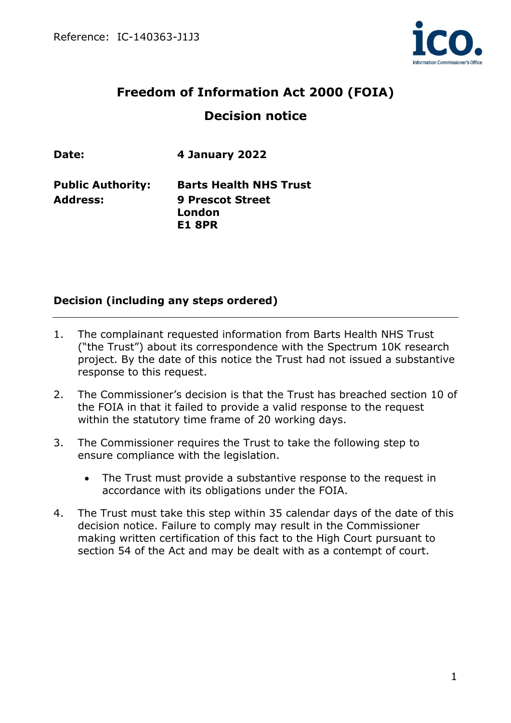

# **Freedom of Information Act 2000 (FOIA) Decision notice**

**Date: 4 January 2022**

**Address: 9 Prescot Street**

**Public Authority: Barts Health NHS Trust London E1 8PR**

# **Decision (including any steps ordered)**

- 1. The complainant requested information from Barts Health NHS Trust ("the Trust") about its correspondence with the Spectrum 10K research project. By the date of this notice the Trust had not issued a substantive response to this request.
- 2. The Commissioner's decision is that the Trust has breached section 10 of the FOIA in that it failed to provide a valid response to the request within the statutory time frame of 20 working days.
- 3. The Commissioner requires the Trust to take the following step to ensure compliance with the legislation.
	- The Trust must provide a substantive response to the request in accordance with its obligations under the FOIA.
- 4. The Trust must take this step within 35 calendar days of the date of this decision notice. Failure to comply may result in the Commissioner making written certification of this fact to the High Court pursuant to section 54 of the Act and may be dealt with as a contempt of court.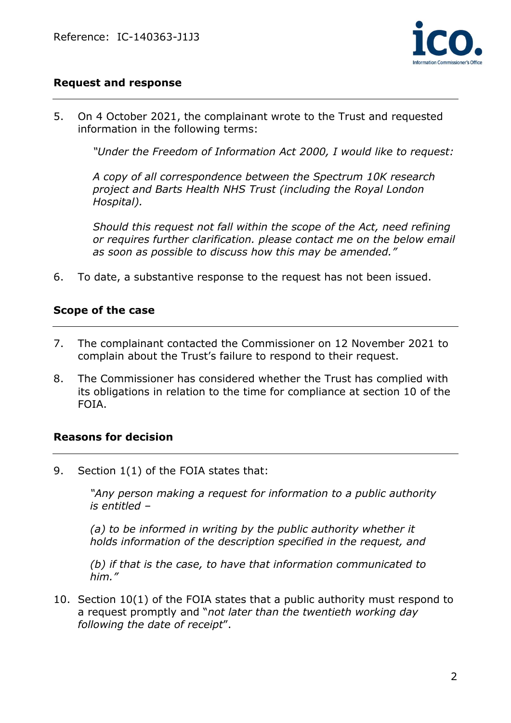

## **Request and response**

5. On 4 October 2021, the complainant wrote to the Trust and requested information in the following terms:

*"Under the Freedom of Information Act 2000, I would like to request:*

*A copy of all correspondence between the Spectrum 10K research project and Barts Health NHS Trust (including the Royal London Hospital).*

*Should this request not fall within the scope of the Act, need refining or requires further clarification. please contact me on the below email as soon as possible to discuss how this may be amended."*

6. To date, a substantive response to the request has not been issued.

#### **Scope of the case**

- 7. The complainant contacted the Commissioner on 12 November 2021 to complain about the Trust's failure to respond to their request.
- 8. The Commissioner has considered whether the Trust has complied with its obligations in relation to the time for compliance at section 10 of the FOIA.

### **Reasons for decision**

9. Section 1(1) of the FOIA states that:

*"Any person making a request for information to a public authority is entitled –*

*(a) to be informed in writing by the public authority whether it holds information of the description specified in the request, and*

*(b) if that is the case, to have that information communicated to him."*

10. Section 10(1) of the FOIA states that a public authority must respond to a request promptly and "*not later than the twentieth working day following the date of receipt*".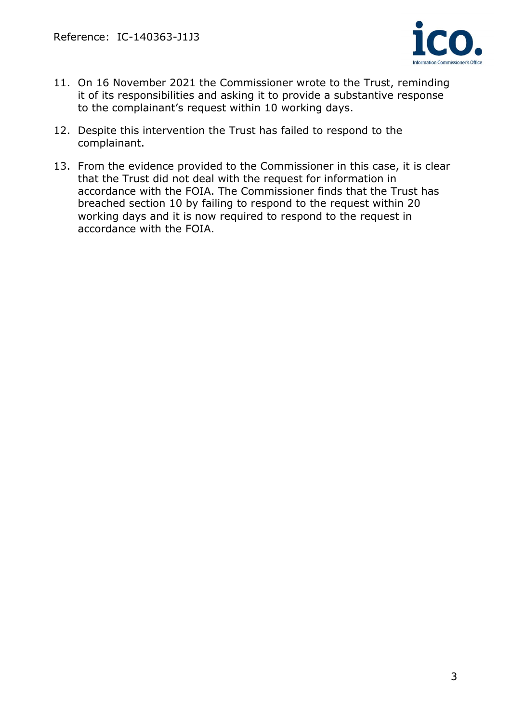

- 11. On 16 November 2021 the Commissioner wrote to the Trust, reminding it of its responsibilities and asking it to provide a substantive response to the complainant's request within 10 working days.
- 12. Despite this intervention the Trust has failed to respond to the complainant.
- 13. From the evidence provided to the Commissioner in this case, it is clear that the Trust did not deal with the request for information in accordance with the FOIA. The Commissioner finds that the Trust has breached section 10 by failing to respond to the request within 20 working days and it is now required to respond to the request in accordance with the FOIA.